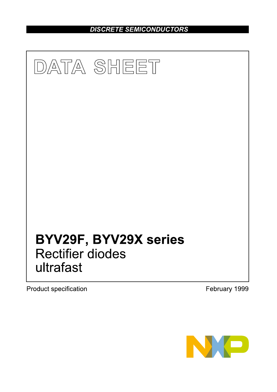DISCRETE SEMICONDUCTORS



**Product specification** 

February 1999

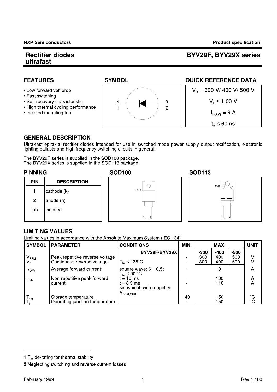# BYV29F, BYV29X series

# **FEATURES**

- Low forward volt drop
- Fast switching
- · Soft recovery characteristic
- High thermal cycling performance
- Isolated mounting tab



# **QUICK REFERENCE DATA**



## **GENERAL DESCRIPTION**

Ultra-fast epitaxial rectifier diodes intended for use in switched mode power supply output rectification, electronic lighting ballasts and high frequency switching circuits in general.

The BYV29F series is supplied in the SOD100 package.<br>The BYV29X series is supplied in the SOD113 package.

## **PINNING**

**PIN** 

 $\mathbf{1}$ 

 $\overline{c}$ 

tab

## **DESCRIPTION**  $\bigcirc$ cas cathode (k) anode (a)

# **SOD100**



# **LIMITING VALUES**

isolated

Limiting values in accordance with the Absolute Maximum System (IEC 134).

| <b>SYMBOL</b>        | <b>PARAMETER</b>                                              | <b>CONDITIONS</b>                                            | MIN. | MAX.                 |                      |                      | <b>UNIT</b> |
|----------------------|---------------------------------------------------------------|--------------------------------------------------------------|------|----------------------|----------------------|----------------------|-------------|
| $V_{RRM}$<br>$V_{R}$ | Peak repetitive reverse voltage<br>Continuous reverse voltage | BYV29F/BYV29X<br>$T_{\text{hs}} \leq 138^{\circ} \text{C}^1$ |      | $-300$<br>300<br>300 | $-400$<br>400<br>400 | $-500$<br>500<br>500 | v           |
| F(AV)                | Average forward current <sup>2</sup>                          | square wave; $\delta = 0.5$ ;<br>$T_{hs} \leq 90$ °C         |      |                      | 9                    |                      | А           |
| $I_{FSM}$            | Non-repetitive peak forward<br>current                        | $= 10$ ms<br>$t = 8.3$ ms<br>sinusoidal; with reapplied      |      |                      | 100<br>110           |                      | Α<br>Α      |
| $I_{\text{stg}}$     | Storage temperature<br>Operating junction temperature         | $V_{\mathsf{RRM}(\mathsf{max})}$                             | -40  |                      | 150<br>150           |                      | °C.<br>C    |

<sup>1</sup>  $T_{hs}$  de-rating for thermal stability.

<sup>2</sup> Neglecting switching and reverse current losses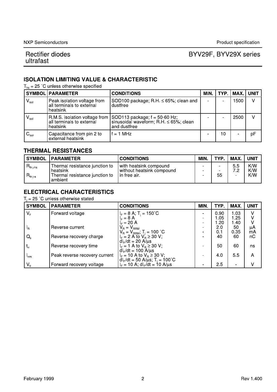# BYV29F, BYV29X series

# **ISOLATION LIMITING VALUE & CHARACTERISTIC**

 $T_{bs}$  = 25 °C unless otherwise specified

|                             | SYMBOL PARAMETER                                                     | <b>CONDITIONS</b>                                                                                                            | MIN. |    | TYP   MAX   UNIT |    |
|-----------------------------|----------------------------------------------------------------------|------------------------------------------------------------------------------------------------------------------------------|------|----|------------------|----|
| $\mathsf{V}_{\mathsf{iso}}$ | Peak isolation voltage from<br>all terminals to external<br>heatsink | SOD100 package; R.H. $\leq$ 65%; clean and<br>dustfree                                                                       |      |    | 1500             | V  |
| $V_{\rm iso}$               | all terminals to external<br>heatsink                                | $R.M.S.$ isolation voltage from $ SOD113$ package; $f = 50-60$ Hz;<br>sinusoidal waveform; R.H. ≤ 65%; clean<br>and dustfree |      |    | 2500             | v  |
| $C_{\mathsf{iso}}$          | Capacitance from pin 2 to<br>external heatsink                       | $f = 1$ MHz                                                                                                                  |      | 10 |                  | pF |

## **THERMAL RESISTANCES**

| <b>SYMBOL</b>                            | <b>PARAMETER</b>                                                                        | <b>CONDITIONS</b>                                                     | MIN. | <b>TYP</b>                          | MAX.           | <b>UNIT</b>       |
|------------------------------------------|-----------------------------------------------------------------------------------------|-----------------------------------------------------------------------|------|-------------------------------------|----------------|-------------------|
| ीth i hs<br>$R_{\mathsf{th}+\mathsf{a}}$ | Thermal resistance junction to<br>heatsink<br>Thermal resistance junction to<br>ambient | with heatsink compound<br>without heatsink compound<br>l in free air. | -    | -<br>$\overline{\phantom{0}}$<br>55 | 55<br>7 ∩<br>- | K/W<br>K/W<br>K/W |

# **ELECTRICAL CHARACTERISTICS**

 $T_i = 25$  °C unless otherwise stated

| <b>SYMBOL</b>    | <b> PARAMETER</b>             | <b>CONDITIONS</b>                                                           | MIN. | TYP. | MAX. | <b>UNIT</b> |
|------------------|-------------------------------|-----------------------------------------------------------------------------|------|------|------|-------------|
| $V_F$            | Forward voltage               | $= 8 A$ ; T <sub>i</sub> = 150 <sup>°</sup> C                               |      | 0.90 | 1.03 |             |
|                  |                               | $IE = 8 A$                                                                  |      | l 05 | 1.25 |             |
|                  |                               | $I_F = 20 A$                                                                |      | -20  | 1.40 |             |
| $I_{\rm R}$      | Reverse current               | $V_R = V_{RRM}$                                                             | ۰    | 2.0  | 50   | μA<br>mA    |
|                  |                               |                                                                             |      | 0.1  | 0.35 |             |
| $Q_{s}$          | Reverse recovery charge       | $V_R = V_{RRM}$ ; T <sub>j</sub> = 100 °C<br>$I_F = 2$ A to $V_R \ge 30$ V; |      | 40   | 60   | nC          |
|                  |                               | $dl_F/dt = 20 \text{ A/}\mu\text{s}$                                        |      |      |      |             |
| $t_{\rm rr}$     | Reverse recovery time         | $I_F = 1$ A to $V_B \ge 30$ V;                                              |      | 50   | 60   | ns          |
|                  |                               | $dl_F/dt = 100$ A/ $\mu$ s                                                  |      |      |      |             |
| $I_{\text{rrm}}$ | Peak reverse recovery current | $I_F = 10$ A to $V_R \ge 30$ V;                                             |      | 4.0  | 55   | A           |
|                  |                               | $dIF/dt = 50 A/µs$ ; T <sub>i</sub> = 100°C                                 |      |      |      |             |
| $V_{\text{fr}}$  | Forward recovery voltage      | $I_F = 10$ A; dl <sub>F</sub> /dt = 10 A/us                                 |      | 25   |      | v           |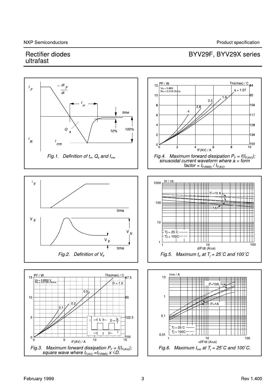BYV29F, BYV29X series

# **Rectifier diodes** ultrafast

#### $\frac{Ths(max) / C}{84}$  $PF/W$  $=$  dl  $12$  $\digamma$  $V_0 = 0.89V$ <br>Rs = 0.019 Oh  $\frac{1}{f}$  $a = 1.57$  $\overline{dt}$  $10$ 95 1.9  $2<sub>2</sub>$ 106  $\mathbf{g}$  $\overline{\mathbf{A}}$ time  $\overline{6}$ 117 128  $\overline{A}$  $\boldsymbol{Q}$ 100%  $10%$ 139  $\overline{c}$  $\frac{1}{R}$  $\frac{1}{r}$ 150  $\mathbf 0$  $4$  IF(AV) / A  $6$  $10$ ่ก  $\mathcal{P}$ 8 Fig.4. Maximum forward dissipation  $P_F = f(I_{F(AV)})$ ;<br>sinusoidal current waveform where  $a = form$ <br>factor =  $I_{F(RMS)}/I_{F(AV)}$ . Fig.1. Definition of  $t_m$ ,  $Q_s$  and  $I_{rm}$  $trr/ns$  $\mathsf{I}_\mathsf{F}$ 1000  $IF=10A$ 100  $\equiv$ 1A $\approx$ time  $V_F$  $10$  $Tj = 25$  C V  $f$ r  $\dot{T}$ j = 100C  $V_F$  $\frac{10}{dF/dt}$  (A/us)  $\frac{1}{100}$ ł time Fig.5. Maximum  $t_r$  at  $T_i = 25^{\circ}$ C and 100°C Fig.2. Definition of  $V_{tr}$ Irrm / A PF/W Ths(max) /  $C$  $10$ 15  $675$  $\frac{V_0}{R_s} = 8.8998$   $\chi$ <sub>hn</sub>  $\overline{\mathbf{0}}$  $\overline{1}$  $10$ 95  $F = 1A$  $0.1$ 5 122.5  $t_{p}$  $t_{p}$  $\overline{D}$  $Tj = 25 C$  $Tj = 100C$ 퀸  $\bar{\rm T}$  $0.01$  $1_{150}$  $0\frac{1}{0}$  $10$ <br>-dlF/dt (A/us) 100  $\overline{10}$  $\overline{5}$  $1\overline{5}$  $IF(AV) / A$ Fig.3. Maximum forward dissipation  $P_F = f(I_{F(AV)})$ ;<br>square wave where  $I_{F(AV)} = I_{F(RMS)} \times \sqrt{D}$ . Fig.6. Maximum  $I_{rm}$  at  $T_i = 25^{\circ}$ C and 100°C.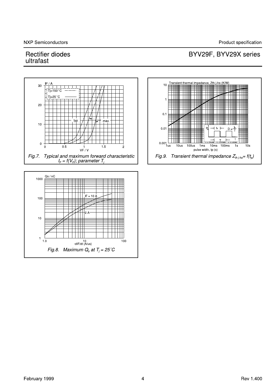Product specification

# **Rectifier diodes** ultrafast

#### Transient thermal impedance, Zth j-hs (K/W)  $10E$ 30 == THI TTIIII TTIII Ш ना  $20$ **THE MANUFACTURE OF THE STATE** TIIII  $0.1$ ma:  $10$  $0.01$  $t<sub>p</sub>$  $\overline{D}$  $0.001$  Lus  $\mathbf 0$  $\frac{1}{100}$  $100<sub>u</sub>$ 10us 1<sub>ms</sub>  $10ms$  $10<sub>s</sub>$  $\dot{0}$  $0.5$  $1.5$  $1s$  $\frac{1}{VF/V}$  $\circ$ pulse width, tp (s) Fig.7. Typical and maximum forward characteristic<br> $I_F = f(V_F)$ ; parameter  $T_j$ Fig.9. Transient thermal impedance  $Z_{th+hs} = f(t_p)$  $Qs/nC$ 1000  $IF = 10$ 100  $10$  $\mathbf 1$  $10$ 10<br>dlF/dt (A/us) 100

# BYV29F, BYV29X series

Fig.8. Maximum  $Q_s$  at  $T_i = 25^{\circ}C$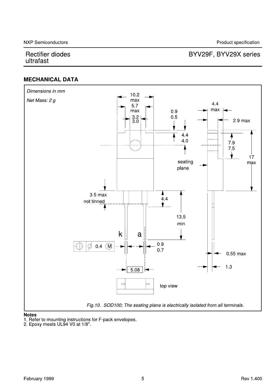# BYV29F, BYV29X series

# **MECHANICAL DATA**





1. Refer to mounting instructions for F-pack envelopes.<br>2. Epoxy meets UL94 V0 at 1/8".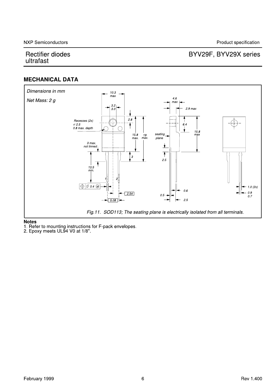# BYV29F, BYV29X series

# **MECHANICAL DATA**



## **Notes**

1. Refer to mounting instructions for F-pack envelopes.<br>2. Epoxy meets UL94 V0 at 1/8".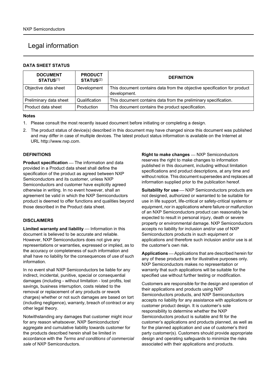# Legal information

## DATA SHEET STATUS

| <b>NXP Semiconductors</b>                                                                                    |               |  |                                                                                                                                                                                                                                       |  |
|--------------------------------------------------------------------------------------------------------------|---------------|--|---------------------------------------------------------------------------------------------------------------------------------------------------------------------------------------------------------------------------------------|--|
| Legal information                                                                                            |               |  |                                                                                                                                                                                                                                       |  |
| <b>DATA SHEET STATUS</b>                                                                                     |               |  |                                                                                                                                                                                                                                       |  |
| <b>PRODUCT</b><br><b>DOCUMENT</b><br>STATUS <sup>(1)</sup><br>STATUS <sup>(2)</sup>                          |               |  | <b>DEFINITION</b>                                                                                                                                                                                                                     |  |
| Objective data sheet                                                                                         | Development   |  | This document contains data from the objective specification for product<br>development.                                                                                                                                              |  |
| Preliminary data sheet                                                                                       | Qualification |  | This document contains data from the preliminary specification.                                                                                                                                                                       |  |
| Product data sheet                                                                                           | Production    |  | This document contains the product specification.                                                                                                                                                                                     |  |
| <b>Notes</b>                                                                                                 |               |  |                                                                                                                                                                                                                                       |  |
|                                                                                                              |               |  | 1. Please consult the most recently issued document before initiating or completing a design.                                                                                                                                         |  |
| URL http://www.nxp.com.                                                                                      |               |  | 2. The product status of device(s) described in this document may have changed since this document was published<br>and may differ in case of multiple devices. The latest product status information is available on the Internet at |  |
| <b>DEFINITIONS</b>                                                                                           |               |  | Right to make changes - NXP Semiconductors                                                                                                                                                                                            |  |
| <b>Product specification</b> - The information and data<br>provided in a Product data sheet shall define the |               |  | reserves the right to make changes to information<br>published in this document, including without limitation                                                                                                                         |  |

## Notes

- 
- and may differ in case of multiple devices. The latest product status information is available on the Internet at

## **DEFINITIONS**

Product specification - The information and data provided in a Product data sheet shall define the specification of the product as agreed between NXP Semiconductors and its customer, unless NXP Semiconductors and customer have explicitly agreed otherwise in writing. In no event however, shall an agreement be valid in which the NXP Semiconductors product is deemed to offer functions and qualities beyond those described in the Product data sheet.

## DISCLAIMERS

Limited warranty and liability - Information in this document is believed to be accurate and reliable. However, NXP Semiconductors does not give any representations or warranties, expressed or implied, as to the accuracy or completeness of such information and shall have no liability for the consequences of use of such information.

In no event shall NXP Semiconductors be liable for any indirect, incidental, punitive, special or consequential damages (including - without limitation - lost profits, lost savings, business interruption, costs related to the removal or replacement of any products or rework charges) whether or not such damages are based on tort (including negligence), warranty, breach of contract or any other legal theory.

Notwithstanding any damages that customer might incur for any reason whatsoever, NXP Semiconductors' aggregate and cumulative liability towards customer for the products described herein shall be limited in accordance with the Terms and conditions of commercial sale of NXP Semiconductors.

Right to make changes - NXP Semiconductors reserves the right to make changes to information published in this document, including without limitation specifications and product descriptions, at any time and without notice. This document supersedes and replaces all information supplied prior to the publication hereof.

Suitability for use - NXP Semiconductors products are not designed, authorized or warranted to be suitable for use in life support, life-critical or safety-critical systems or equipment, nor in applications where failure or malfunction of an NXP Semiconductors product can reasonably be expected to result in personal injury, death or severe property or environmental damage. NXP Semiconductors accepts no liability for inclusion and/or use of NXP Semiconductors products in such equipment or applications and therefore such inclusion and/or use is at the customer's own risk.

Applications – Applications that are described herein for any of these products are for illustrative purposes only. NXP Semiconductors makes no representation or warranty that such applications will be suitable for the specified use without further testing or modification.

Customers are responsible for the design and operation of their applications and products using NXP Semiconductors products, and NXP Semiconductors accepts no liability for any assistance with applications or customer product design. It is customer's sole responsibility to determine whether the NXP Semiconductors product is suitable and fit for the customer's applications and products planned, as well as for the planned application and use of customer's third party customer(s). Customers should provide appropriate design and operating safeguards to minimize the risks associated with their applications and products.